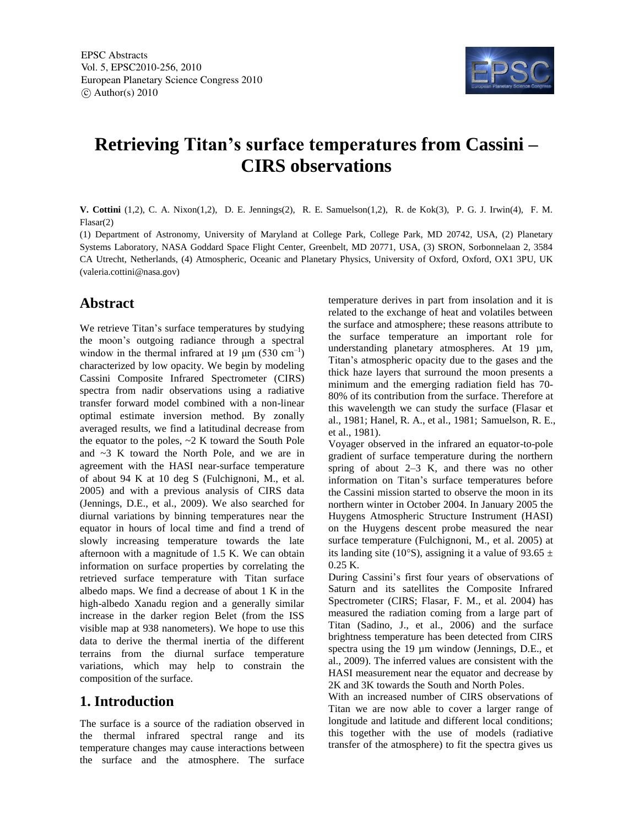

# **Retrieving Titan's surface temperatures from Cassini – CIRS observations**

**V. Cottini** (1,2), C. A. Nixon(1,2), D. E. Jennings(2), R. E. Samuelson(1,2), R. de Kok(3), P. G. J. Irwin(4), F. M. Flasar(2)

(1) Department of Astronomy, University of Maryland at College Park, College Park, MD 20742, USA, (2) Planetary Systems Laboratory, NASA Goddard Space Flight Center, Greenbelt, MD 20771, USA, (3) SRON, Sorbonnelaan 2, 3584 CA Utrecht, Netherlands, (4) Atmospheric, Oceanic and Planetary Physics, University of Oxford, Oxford, OX1 3PU, UK (valeria.cottini@nasa.gov)

#### **Abstract**

We retrieve Titan's surface temperatures by studying the moon's outgoing radiance through a spectral window in the thermal infrared at 19  $\mu$ m (530 cm<sup>-1</sup>) characterized by low opacity. We begin by modeling Cassini Composite Infrared Spectrometer (CIRS) spectra from nadir observations using a radiative transfer forward model combined with a non-linear optimal estimate inversion method. By zonally averaged results, we find a latitudinal decrease from the equator to the poles, ~2 K toward the South Pole and ~3 K toward the North Pole, and we are in agreement with the HASI near-surface temperature of about 94 K at 10 deg S (Fulchignoni, M., et al. 2005) and with a previous analysis of CIRS data (Jennings, D.E., et al., 2009). We also searched for diurnal variations by binning temperatures near the equator in hours of local time and find a trend of slowly increasing temperature towards the late afternoon with a magnitude of 1.5 K. We can obtain information on surface properties by correlating the retrieved surface temperature with Titan surface albedo maps. We find a decrease of about 1 K in the high-albedo Xanadu region and a generally similar increase in the darker region Belet (from the ISS visible map at 938 nanometers). We hope to use this data to derive the thermal inertia of the different terrains from the diurnal surface temperature variations, which may help to constrain the composition of the surface.

### **1. Introduction**

The surface is a source of the radiation observed in the thermal infrared spectral range and its temperature changes may cause interactions between the surface and the atmosphere. The surface

temperature derives in part from insolation and it is related to the exchange of heat and volatiles between the surface and atmosphere; these reasons attribute to the surface temperature an important role for understanding planetary atmospheres. At 19 µm, Titan's atmospheric opacity due to the gases and the thick haze layers that surround the moon presents a minimum and the emerging radiation field has 70- 80% of its contribution from the surface. Therefore at this wavelength we can study the surface (Flasar et al., 1981; Hanel, R. A., et al., 1981; Samuelson, R. E., et al., 1981).

Voyager observed in the infrared an equator-to-pole gradient of surface temperature during the northern spring of about 2–3 K, and there was no other information on Titan's surface temperatures before the Cassini mission started to observe the moon in its northern winter in October 2004. In January 2005 the Huygens Atmospheric Structure Instrument (HASI) on the Huygens descent probe measured the near surface temperature (Fulchignoni, M., et al. 2005) at its landing site (10°S), assigning it a value of 93.65  $\pm$ 0.25 K.

During Cassini's first four years of observations of Saturn and its satellites the Composite Infrared Spectrometer (CIRS; Flasar, F. M., et al. 2004) has measured the radiation coming from a large part of Titan (Sadino, J., et al., 2006) and the surface brightness temperature has been detected from CIRS spectra using the 19 µm window (Jennings, D.E., et al., 2009). The inferred values are consistent with the HASI measurement near the equator and decrease by 2K and 3K towards the South and North Poles.

With an increased number of CIRS observations of Titan we are now able to cover a larger range of longitude and latitude and different local conditions; this together with the use of models (radiative transfer of the atmosphere) to fit the spectra gives us